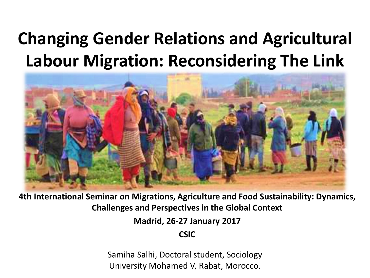#### **Changing Gender Relations and Agricultural Labour Migration: Reconsidering The Link**



**4th International Seminar on Migrations, Agriculture and Food Sustainability: Dynamics, Challenges and Perspectives in the Global Context**

**Madrid, 26-27 January 2017**

**CSIC**

Samiha Salhi, Doctoral student, Sociology University Mohamed V, Rabat, Morocco.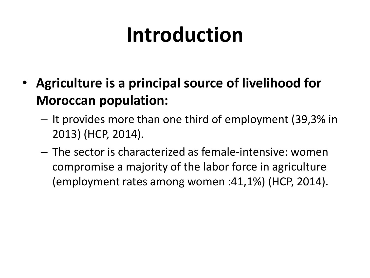# **Introduction**

- **Agriculture is a principal source of livelihood for Moroccan population:**
	- It provides more than one third of employment (39,3% in 2013) (HCP, 2014).
	- The sector is characterized as female-intensive: women compromise a majority of the labor force in agriculture (employment rates among women :41,1%) (HCP, 2014).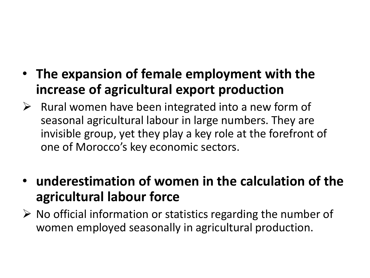- **The expansion of female employment with the increase of agricultural export production**
- $\triangleright$  Rural women have been integrated into a new form of seasonal agricultural labour in large numbers. They are invisible group, yet they play a key role at the forefront of one of Morocco's key economic sectors.
- **underestimation of women in the calculation of the agricultural labour force**
- $\triangleright$  No official information or statistics regarding the number of women employed seasonally in agricultural production.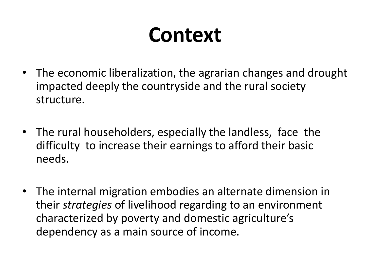## **Context**

- The economic liberalization, the agrarian changes and drought impacted deeply the countryside and the rural society structure.
- The rural householders, especially the landless, face the difficulty to increase their earnings to afford their basic needs.
- The internal migration embodies an alternate dimension in their *strategies* of livelihood regarding to an environment characterized by poverty and domestic agriculture's dependency as a main source of income.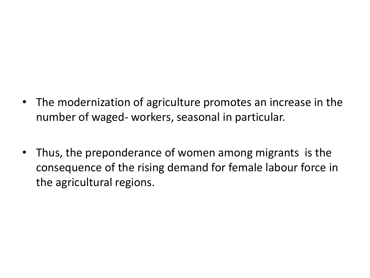- The modernization of agriculture promotes an increase in the number of waged- workers, seasonal in particular.
- Thus, the preponderance of women among migrants is the consequence of the rising demand for female labour force in the agricultural regions.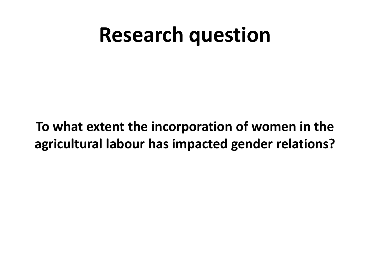#### **Research question**

#### **To what extent the incorporation of women in the agricultural labour has impacted gender relations?**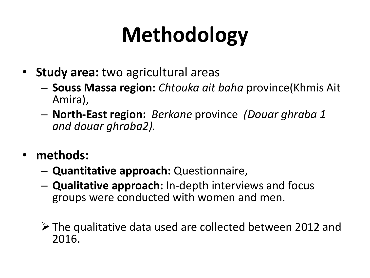# **Methodology**

- **Study area:** two agricultural areas
	- **Souss Massa region:** *Chtouka ait baha* province(Khmis Ait Amira),
	- **North-East region:** *Berkane* province *(Douar ghraba 1 and douar ghraba2).*
- **methods:**
	- **Quantitative approach:** Questionnaire,
	- **Qualitative approach:** In-depth interviews and focus groups were conducted with women and men.
	- The qualitative data used are collected between 2012 and 2016.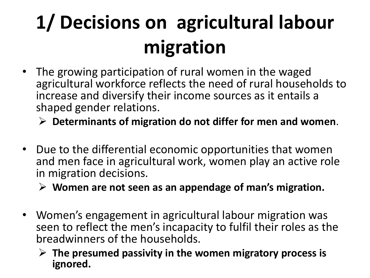# **1/ Decisions on agricultural labour migration**

- The growing participation of rural women in the waged agricultural workforce reflects the need of rural households to increase and diversify their income sources as it entails a shaped gender relations.
	- **Determinants of migration do not differ for men and women**.
- Due to the differential economic opportunities that women and men face in agricultural work, women play an active role in migration decisions.
	- **Women are not seen as an appendage of man's migration.**
- Women's engagement in agricultural labour migration was seen to reflect the men's incapacity to fulfil their roles as the breadwinners of the households.
	- **The presumed passivity in the women migratory process is ignored.**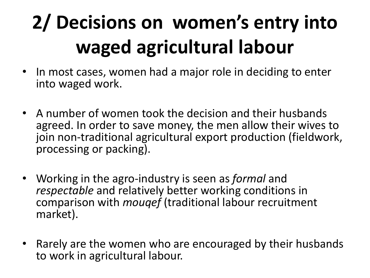# **2/ Decisions on women's entry into waged agricultural labour**

- In most cases, women had a major role in deciding to enter into waged work.
- A number of women took the decision and their husbands agreed. In order to save money, the men allow their wives to join non-traditional agricultural export production (fieldwork, processing or packing).
- Working in the agro-industry is seen as *formal* and *respectable* and relatively better working conditions in comparison with *mouqef* (traditional labour recruitment market).
- Rarely are the women who are encouraged by their husbands to work in agricultural labour.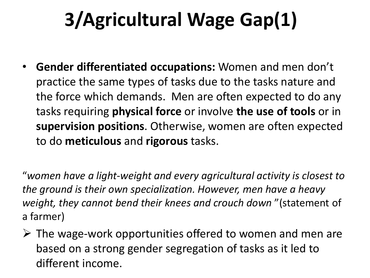#### **3/Agricultural Wage Gap(1)**

• **Gender differentiated occupations:** Women and men don't practice the same types of tasks due to the tasks nature and the force which demands. Men are often expected to do any tasks requiring **physical force** or involve **the use of tools** or in **supervision positions**. Otherwise, women are often expected to do **meticulous** and **rigorous** tasks.

"*women have a light-weight and every agricultural activity is closest to the ground is their own specialization. However, men have a heavy weight, they cannot bend their knees and crouch down* "(statement of a farmer)

 $\triangleright$  The wage-work opportunities offered to women and men are based on a strong gender segregation of tasks as it led to different income.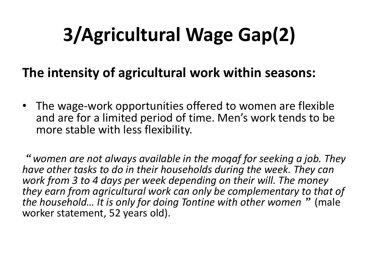### **3/Agricultural Wage Gap(2)**

#### **The intensity of agricultural work within seasons:**

• The wage-work opportunities offered to women are flexible and are for a limited period of time. Men's work tends to be more stable with less flexibility.

*women are not always available in the moqaf for seeking a job. They have other tasks to do in their households during the week. They can work from 3 to 4 days per week depending on their will. The money they earn from agricultural work can only be complementary to that of the household... It is only for doing Tontine with other women* " (male worker statement, 52 years old).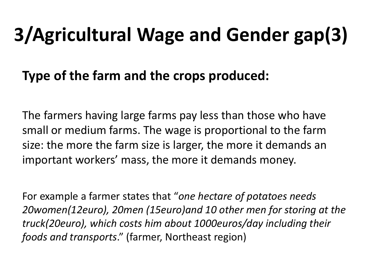### **3/Agricultural Wage and Gender gap(3)**

#### **Type of the farm and the crops produced:**

The farmers having large farms pay less than those who have small or medium farms. The wage is proportional to the farm size: the more the farm size is larger, the more it demands an important workers' mass, the more it demands money.

For example a farmer states that "*one hectare of potatoes needs 20women(12euro), 20men (15euro)and 10 other men for storing at the truck(20euro), which costs him about 1000euros/day including their foods and transports*." (farmer, Northeast region)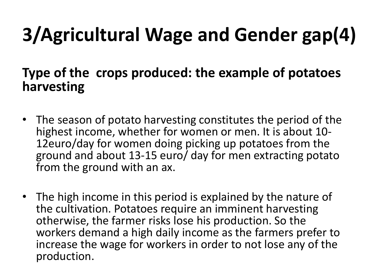# **3/Agricultural Wage and Gender gap(4)**

#### **Type of the crops produced: the example of potatoes harvesting**

- The season of potato harvesting constitutes the period of the highest income, whether for women or men. It is about 10- 12euro/day for women doing picking up potatoes from the ground and about 13-15 euro/ day for men extracting potato from the ground with an ax.
- The high income in this period is explained by the nature of the cultivation. Potatoes require an imminent harvesting otherwise, the farmer risks lose his production. So the workers demand a high daily income as the farmers prefer to increase the wage for workers in order to not lose any of the production.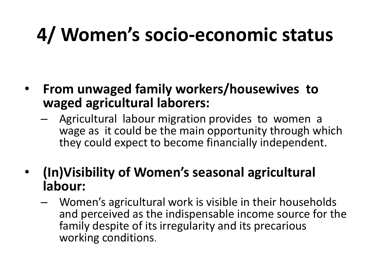#### **4/ Women's socio-economic status**

- **From unwaged family workers/housewives to waged agricultural laborers:**
	- Agricultural labour migration provides to women a wage as it could be the main opportunity through which they could expect to become financially independent.
- **(In)Visibility of Women's seasonal agricultural labour:**
	- Women's agricultural work is visible in their households and perceived as the indispensable income source for the family despite of its irregularity and its precarious working conditions.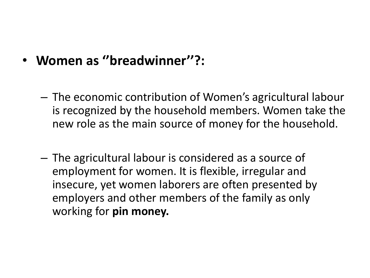- **Women as ''breadwinner''?:** 
	- The economic contribution of Women's agricultural labour is recognized by the household members. Women take the new role as the main source of money for the household.
	- The agricultural labour is considered as a source of employment for women. It is flexible, irregular and insecure, yet women laborers are often presented by employers and other members of the family as only working for **pin money.**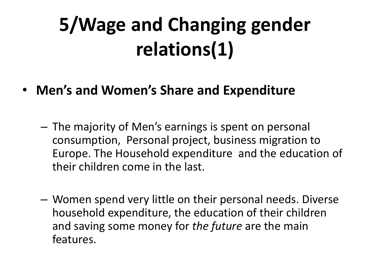## **5/Wage and Changing gender relations(1)**

- **Men's and Women's Share and Expenditure**
	- The majority of Men's earnings is spent on personal consumption, Personal project, business migration to Europe. The Household expenditure and the education of their children come in the last.
	- Women spend very little on their personal needs. Diverse household expenditure, the education of their children and saving some money for *the future* are the main features.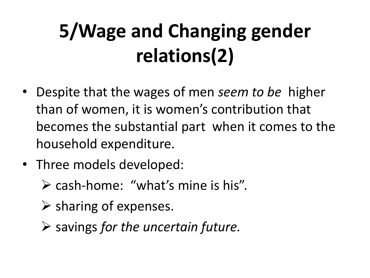## **5/Wage and Changing gender relations(2)**

- Despite that the wages of men *seem to be* higher than of women, it is women's contribution that becomes the substantial part when it comes to the household expenditure.
- Three models developed:
	- $\triangleright$  cash-home: "what's mine is his".
	- $\triangleright$  sharing of expenses.
	- savings *for the uncertain future.*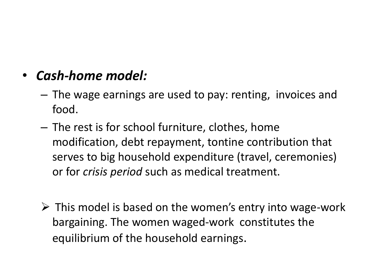#### • *Cash-home model:*

- The wage earnings are used to pay: renting, invoices and food.
- The rest is for school furniture, clothes, home modification, debt repayment, tontine contribution that serves to big household expenditure (travel, ceremonies) or for *crisis period* such as medical treatment.
- $\triangleright$  This model is based on the women's entry into wage-work bargaining. The women waged-work constitutes the equilibrium of the household earnings.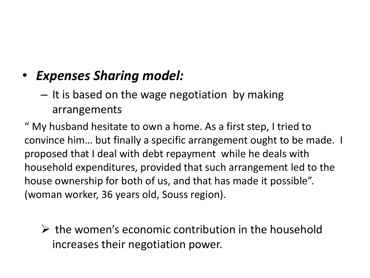#### • *Expenses Sharing model:*

– It is based on the wage negotiation by making arrangements

" My husband hesitate to own a home. As a first step, I tried to convince him… but finally a specific arrangement ought to be made. I proposed that I deal with debt repayment while he deals with household expenditures, provided that such arrangement led to the house ownership for both of us, and that has made it possible". (woman worker, 36 years old, Souss region).

 $\triangleright$  the women's economic contribution in the household increases their negotiation power.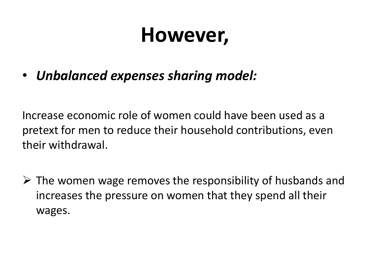#### **However,**

• *Unbalanced expenses sharing model:*

Increase economic role of women could have been used as a pretext for men to reduce their household contributions, even their withdrawal.

 $\triangleright$  The women wage removes the responsibility of husbands and increases the pressure on women that they spend all their wages.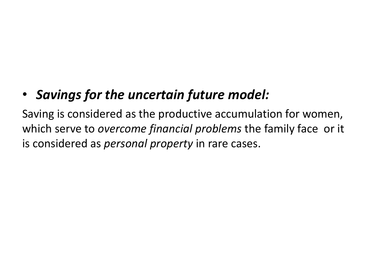#### • *Savings for the uncertain future model:*

Saving is considered as the productive accumulation for women, which serve to *overcome financial problems* the family face or it is considered as *personal property* in rare cases.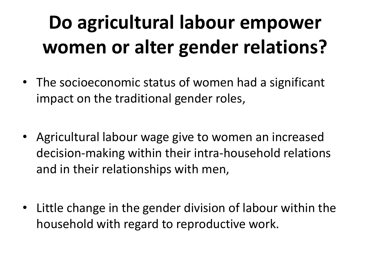## **Do agricultural labour empower women or alter gender relations?**

- The socioeconomic status of women had a significant impact on the traditional gender roles,
- Agricultural labour wage give to women an increased decision-making within their intra-household relations and in their relationships with men,
- Little change in the gender division of labour within the household with regard to reproductive work.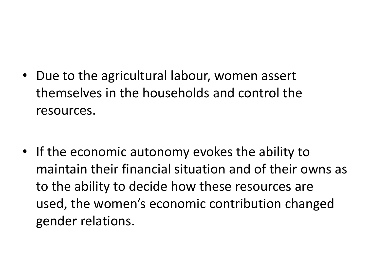- Due to the agricultural labour, women assert themselves in the households and control the resources.
- If the economic autonomy evokes the ability to maintain their financial situation and of their owns as to the ability to decide how these resources are used, the women's economic contribution changed gender relations.